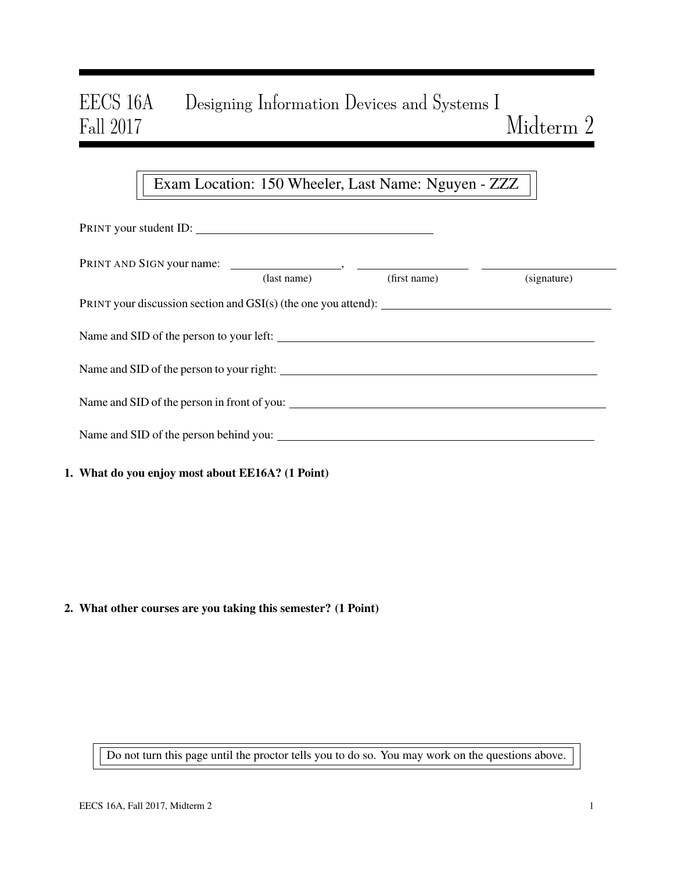# EECS 16A Designing Information Devices and Systems I Fall 2017 Midterm  $2$

# Exam Location: 150 Wheeler, Last Name: Nguyen - ZZZ

| PRINT your student ID:                                                                                                                                                                                                                                                                           |  |  |  |  |  |  |  |  |  |  |
|--------------------------------------------------------------------------------------------------------------------------------------------------------------------------------------------------------------------------------------------------------------------------------------------------|--|--|--|--|--|--|--|--|--|--|
|                                                                                                                                                                                                                                                                                                  |  |  |  |  |  |  |  |  |  |  |
| (first name)<br>(signature)<br>(last name)                                                                                                                                                                                                                                                       |  |  |  |  |  |  |  |  |  |  |
| Name and SID of the person to your left:                                                                                                                                                                                                                                                         |  |  |  |  |  |  |  |  |  |  |
|                                                                                                                                                                                                                                                                                                  |  |  |  |  |  |  |  |  |  |  |
| Name and SID of the person in front of you:                                                                                                                                                                                                                                                      |  |  |  |  |  |  |  |  |  |  |
|                                                                                                                                                                                                                                                                                                  |  |  |  |  |  |  |  |  |  |  |
| $\mathbf{W}$ of $\mathbf{L}$ and $\mathbf{L}$ is the set of $\mathbf{H}$ is set $\mathbf{W}$ is $\mathbf{H}$ and $\mathbf{H}$ is $\mathbf{H}$ is $\mathbf{H}$ is $\mathbf{H}$ is $\mathbf{H}$ is $\mathbf{H}$ is $\mathbf{H}$ is $\mathbf{H}$ is $\mathbf{H}$ is $\mathbf{H}$ is $\mathbf{H}$ is |  |  |  |  |  |  |  |  |  |  |

### 1. What do you enjoy most about EE16A? (1 Point)

### 2. What other courses are you taking this semester? (1 Point)

Do not turn this page until the proctor tells you to do so. You may work on the questions above.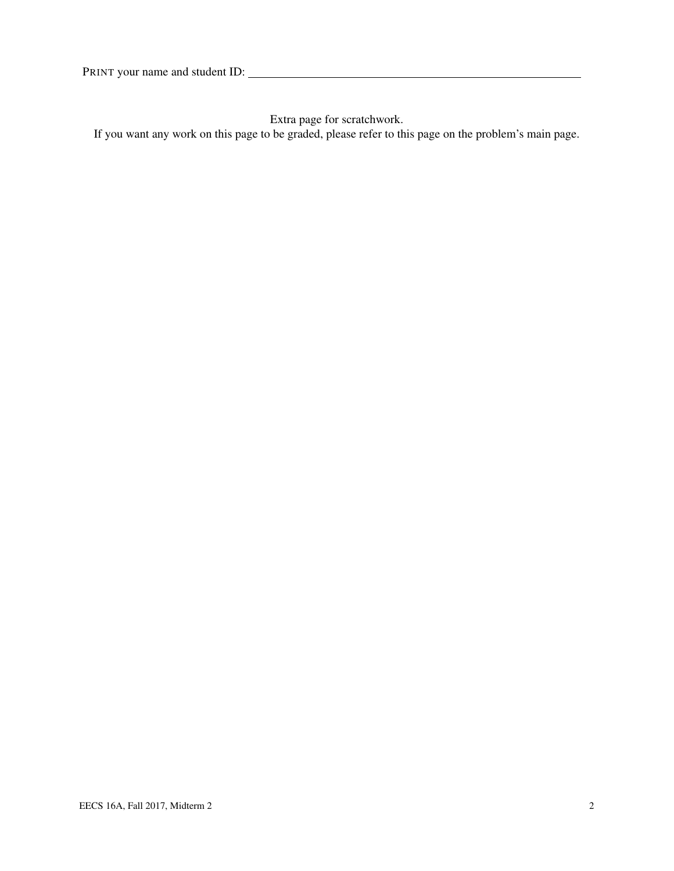Extra page for scratchwork.

If you want any work on this page to be graded, please refer to this page on the problem's main page.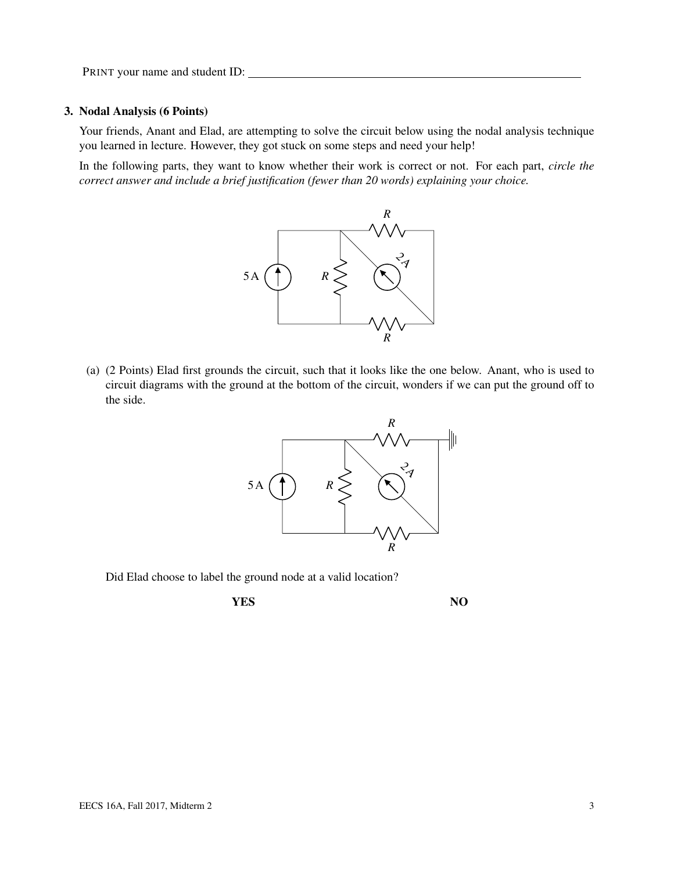#### 3. Nodal Analysis (6 Points)

Your friends, Anant and Elad, are attempting to solve the circuit below using the nodal analysis technique you learned in lecture. However, they got stuck on some steps and need your help!

In the following parts, they want to know whether their work is correct or not. For each part, *circle the correct answer and include a brief justification (fewer than 20 words) explaining your choice.*



(a) (2 Points) Elad first grounds the circuit, such that it looks like the one below. Anant, who is used to circuit diagrams with the ground at the bottom of the circuit, wonders if we can put the ground off to the side.



Did Elad choose to label the ground node at a valid location?

**YES** NO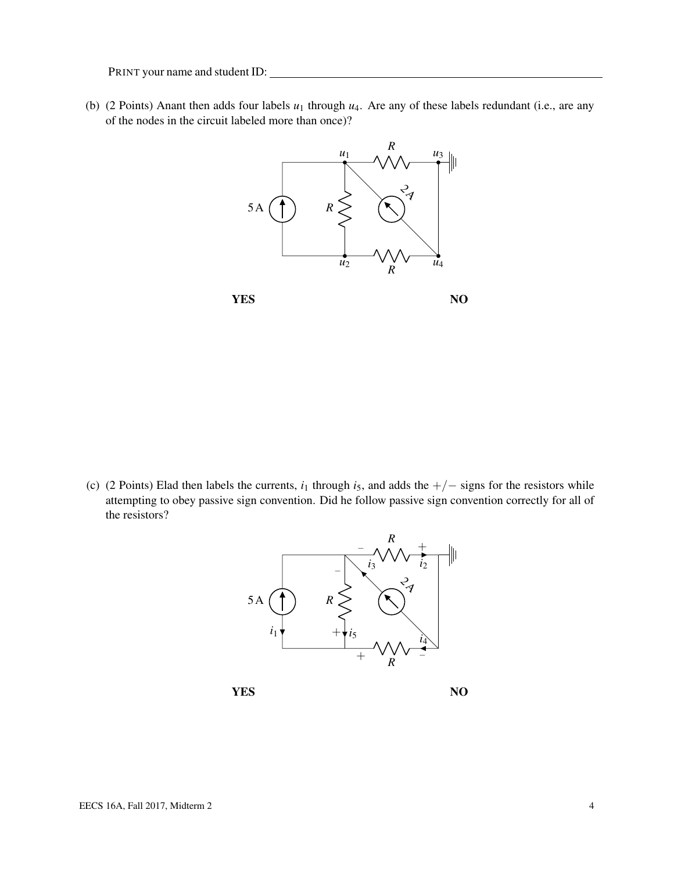(b) (2 Points) Anant then adds four labels *u*<sup>1</sup> through *u*4. Are any of these labels redundant (i.e., are any of the nodes in the circuit labeled more than once)?



**YES** NO

(c) (2 Points) Elad then labels the currents,  $i_1$  through  $i_5$ , and adds the  $+/-$  signs for the resistors while attempting to obey passive sign convention. Did he follow passive sign convention correctly for all of the resistors?



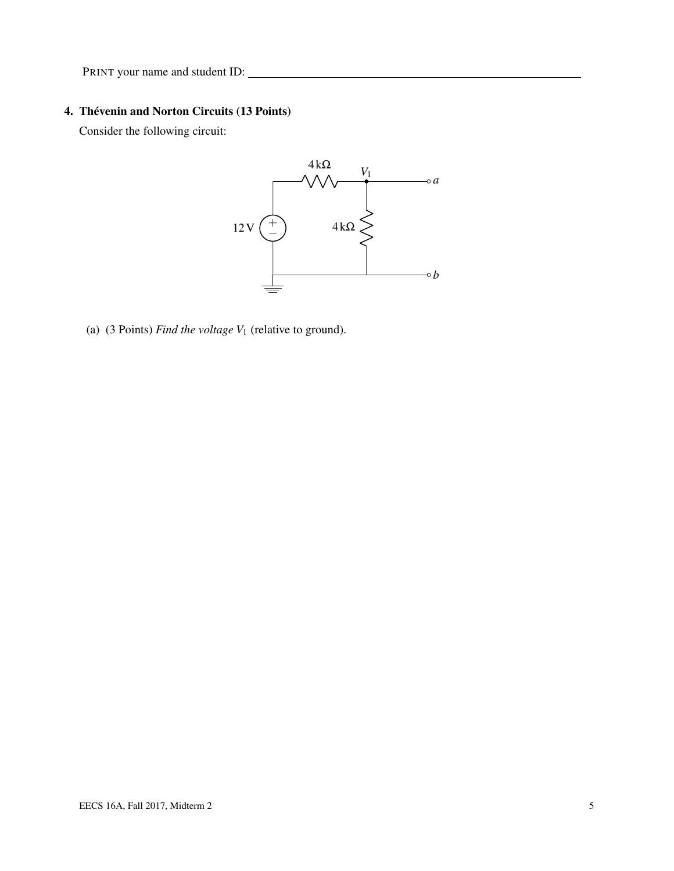## 4. Thévenin and Norton Circuits (13 Points)

Consider the following circuit:



(a) (3 Points) *Find the voltage V*<sup>1</sup> (relative to ground).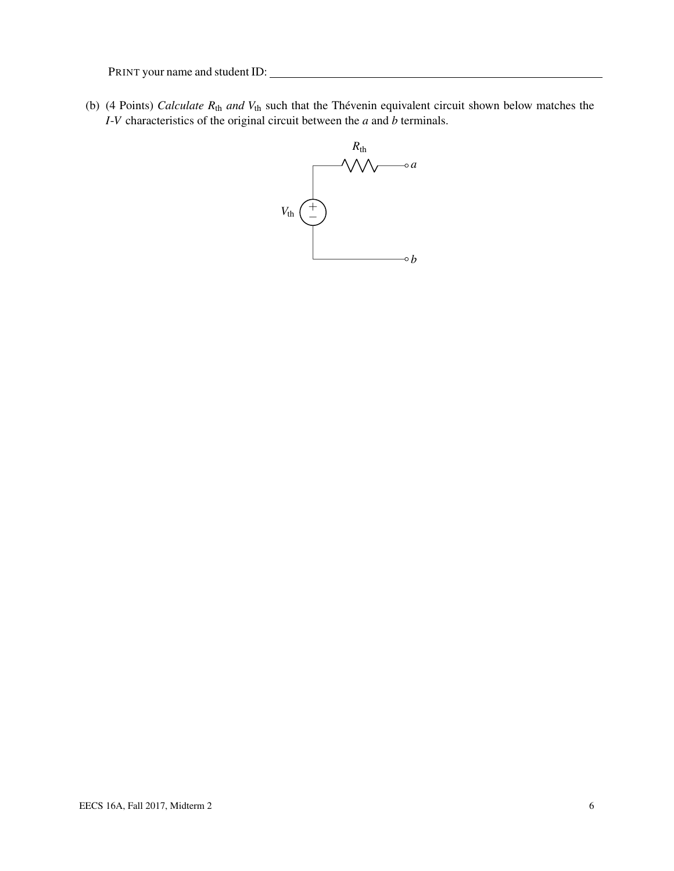<span id="page-5-0"></span>(b) (4 Points) *Calculate R*th *and V*th such that the Thévenin equivalent circuit shown below matches the *I*-*V* characteristics of the original circuit between the *a* and *b* terminals.

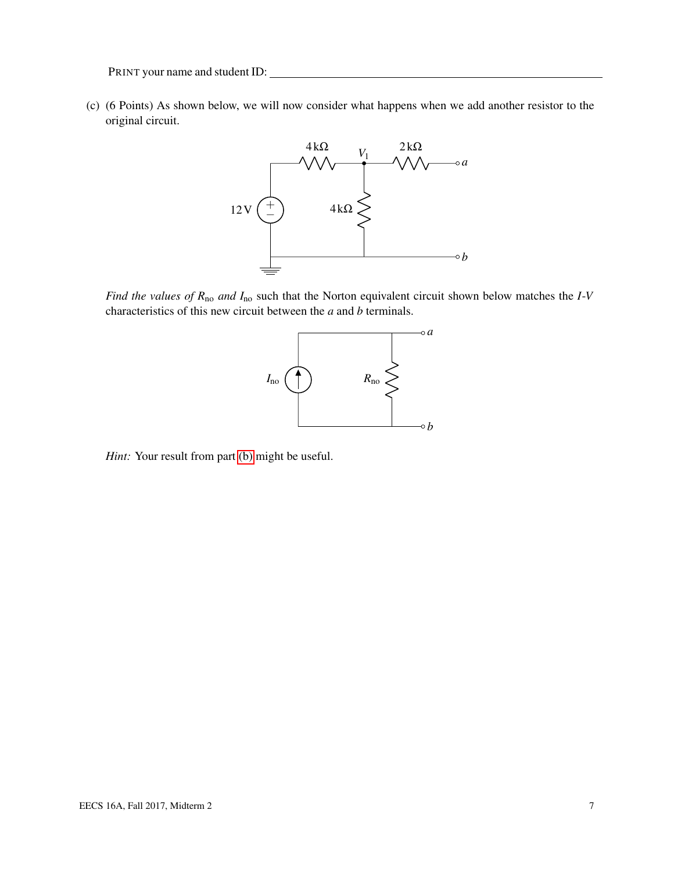(c) (6 Points) As shown below, we will now consider what happens when we add another resistor to the original circuit.



*Find the values of R*no *and I*no such that the Norton equivalent circuit shown below matches the *I*-*V* characteristics of this new circuit between the *a* and *b* terminals.



*Hint:* Your result from part [\(b\)](#page-5-0) might be useful.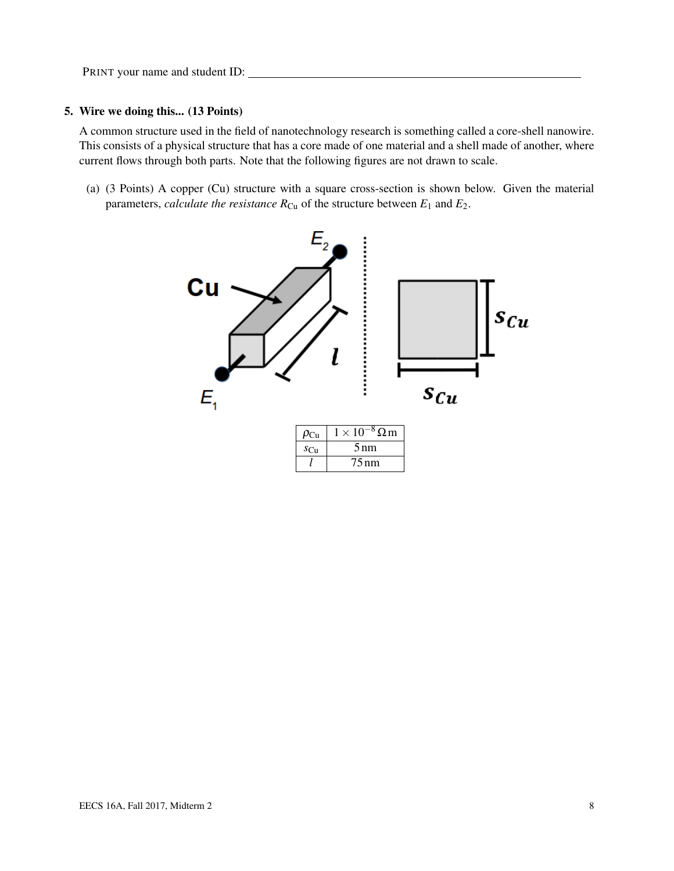#### 5. Wire we doing this... (13 Points)

A common structure used in the field of nanotechnology research is something called a core-shell nanowire. This consists of a physical structure that has a core made of one material and a shell made of another, where current flows through both parts. Note that the following figures are not drawn to scale.

(a) (3 Points) A copper (Cu) structure with a square cross-section is shown below. Given the material parameters, *calculate the resistance*  $R_{Cu}$  of the structure between  $E_1$  and  $E_2$ .

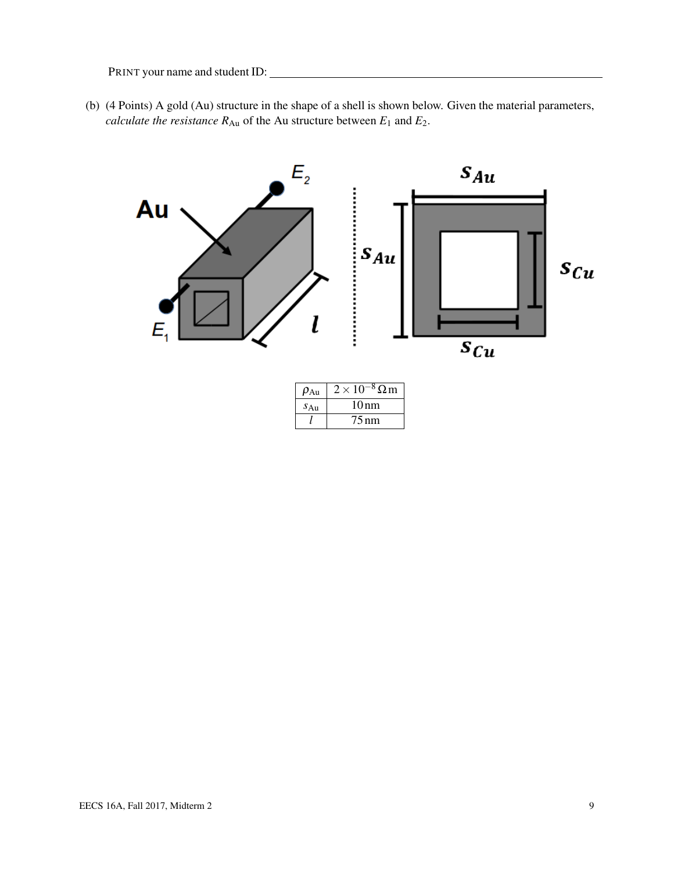(b) (4 Points) A gold (Au) structure in the shape of a shell is shown below. Given the material parameters, *calculate the resistance*  $R_{Au}$  of the Au structure between  $E_1$  and  $E_2$ .

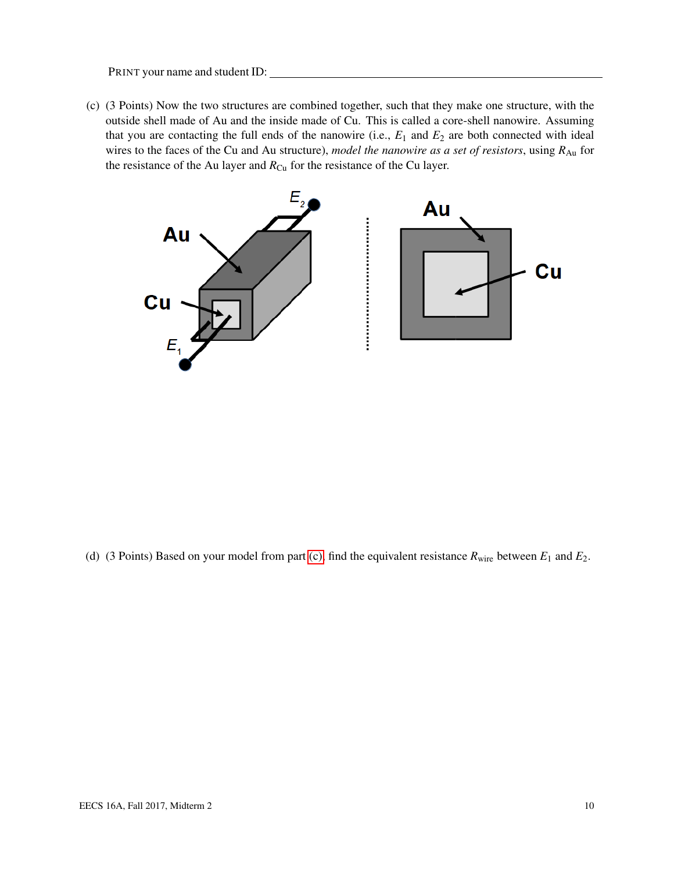<span id="page-9-0"></span>(c) (3 Points) Now the two structures are combined together, such that they make one structure, with the outside shell made of Au and the inside made of Cu. This is called a core-shell nanowire. Assuming that you are contacting the full ends of the nanowire (i.e., *E*<sup>1</sup> and *E*<sup>2</sup> are both connected with ideal wires to the faces of the Cu and Au structure), *model the nanowire as a set of resistors*, using  $R_{Au}$  for the resistance of the Au layer and  $R_{Cu}$  for the resistance of the Cu layer.



(d) (3 Points) Based on your model from part [\(c\),](#page-9-0) find the equivalent resistance  $R_{\text{wire}}$  between  $E_1$  and  $E_2$ .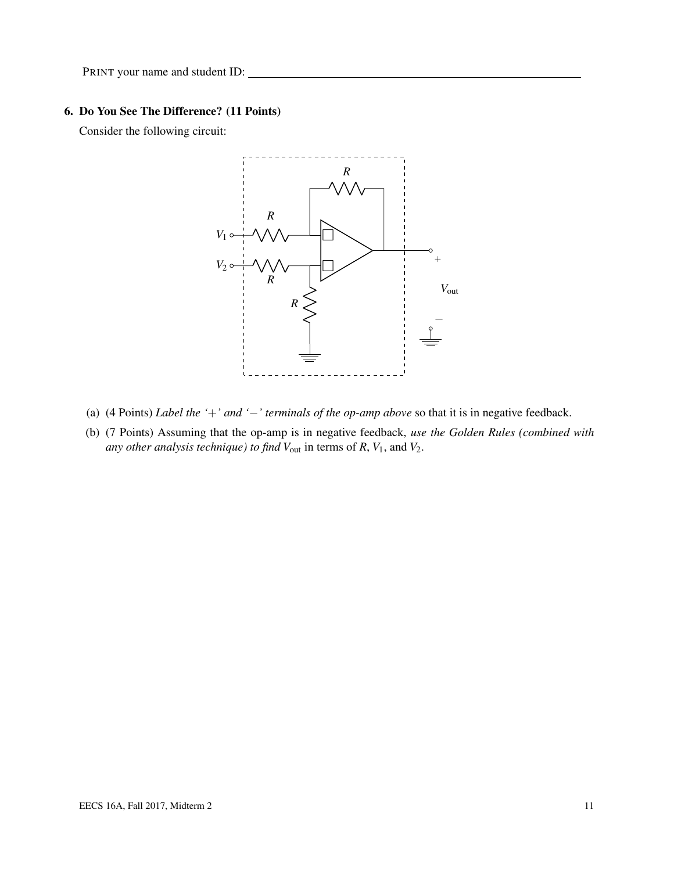#### 6. Do You See The Difference? (11 Points)

Consider the following circuit:



- (a) (4 Points) *Label the '*+*' and '*−*' terminals of the op-amp above* so that it is in negative feedback.
- (b) (7 Points) Assuming that the op-amp is in negative feedback, *use the Golden Rules (combined with any other analysis technique) to find V*out in terms of *R*, *V*1, and *V*2.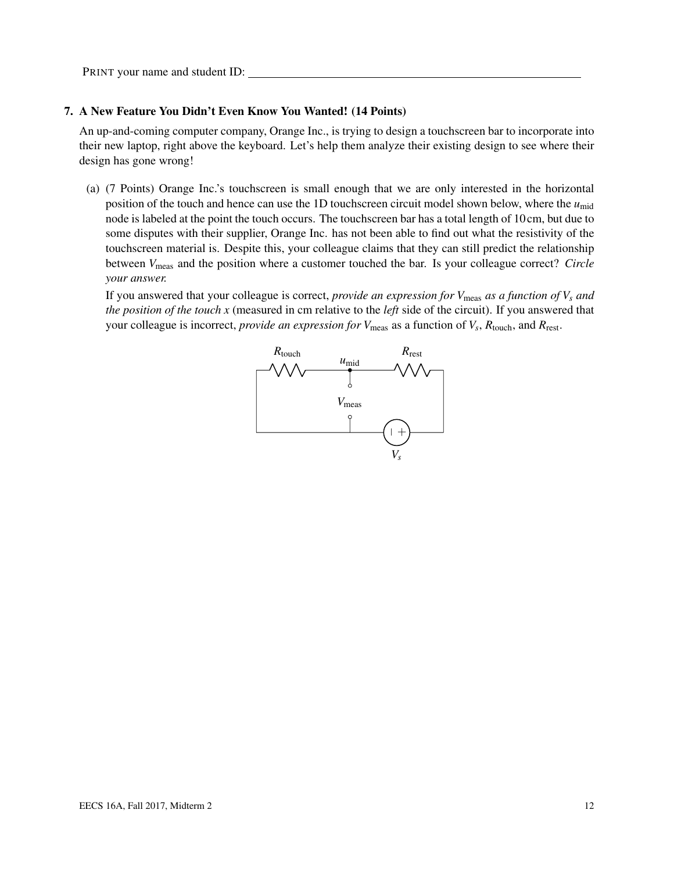#### 7. A New Feature You Didn't Even Know You Wanted! (14 Points)

An up-and-coming computer company, Orange Inc., is trying to design a touchscreen bar to incorporate into their new laptop, right above the keyboard. Let's help them analyze their existing design to see where their design has gone wrong!

(a) (7 Points) Orange Inc.'s touchscreen is small enough that we are only interested in the horizontal position of the touch and hence can use the 1D touchscreen circuit model shown below, where the  $u_{mid}$ node is labeled at the point the touch occurs. The touchscreen bar has a total length of 10 cm, but due to some disputes with their supplier, Orange Inc. has not been able to find out what the resistivity of the touchscreen material is. Despite this, your colleague claims that they can still predict the relationship between *V*meas and the position where a customer touched the bar. Is your colleague correct? *Circle your answer.*

If you answered that your colleague is correct, *provide an expression for*  $V_{\text{meas}}$  *as a function of*  $V_s$  *and the position of the touch x* (measured in cm relative to the *left* side of the circuit). If you answered that your colleague is incorrect, *provide an expression for*  $V_{\text{meas}}$  as a function of  $V_s$ ,  $R_{\text{touch}}$ , and  $R_{\text{rest}}$ .

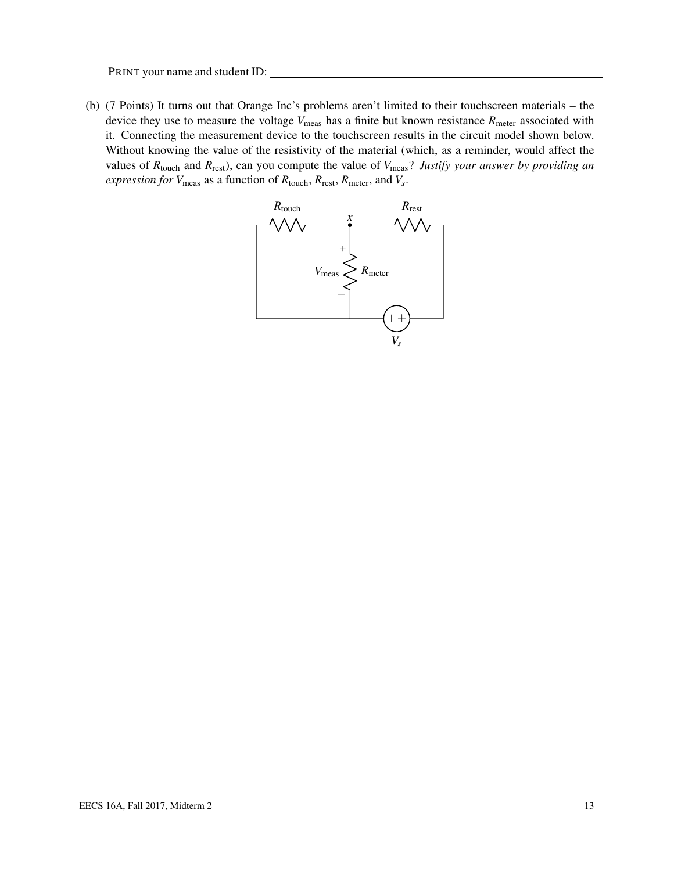(b) (7 Points) It turns out that Orange Inc's problems aren't limited to their touchscreen materials – the device they use to measure the voltage  $V_{\text{meas}}$  has a finite but known resistance  $R_{\text{meter}}$  associated with it. Connecting the measurement device to the touchscreen results in the circuit model shown below. Without knowing the value of the resistivity of the material (which, as a reminder, would affect the values of *R*touch and *R*rest), can you compute the value of *V*meas? *Justify your answer by providing an expression for V*meas as a function of *R*touch, *R*rest, *R*meter, and *V<sup>s</sup>* .

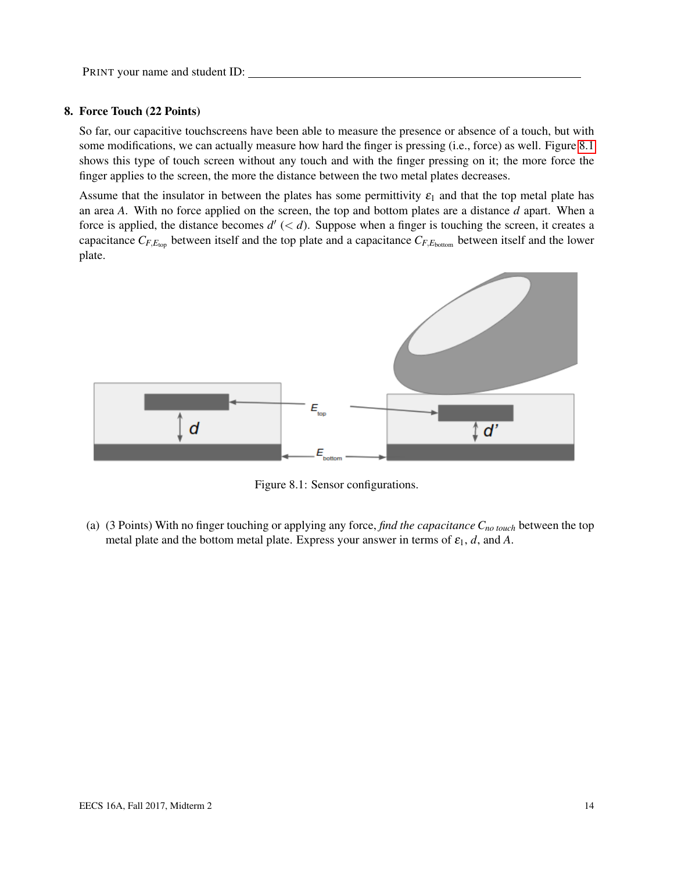#### 8. Force Touch (22 Points)

So far, our capacitive touchscreens have been able to measure the presence or absence of a touch, but with some modifications, we can actually measure how hard the finger is pressing (i.e., force) as well. Figure [8.1](#page-13-0) shows this type of touch screen without any touch and with the finger pressing on it; the more force the finger applies to the screen, the more the distance between the two metal plates decreases.

Assume that the insulator in between the plates has some permittivity  $\varepsilon_1$  and that the top metal plate has an area *A*. With no force applied on the screen, the top and bottom plates are a distance *d* apart. When a force is applied, the distance becomes  $d'$  ( $d$ ). Suppose when a finger is touching the screen, it creates a capacitance  $C_{F,E_{\text{top}}}$  between itself and the top plate and a capacitance  $C_{F,E_{\text{bottom}}}$  between itself and the lower plate.



<span id="page-13-0"></span>Figure 8.1: Sensor configurations.

(a) (3 Points) With no finger touching or applying any force, *find the capacitance Cno touch* between the top metal plate and the bottom metal plate. Express your answer in terms of  $\varepsilon_1$ , *d*, and *A*.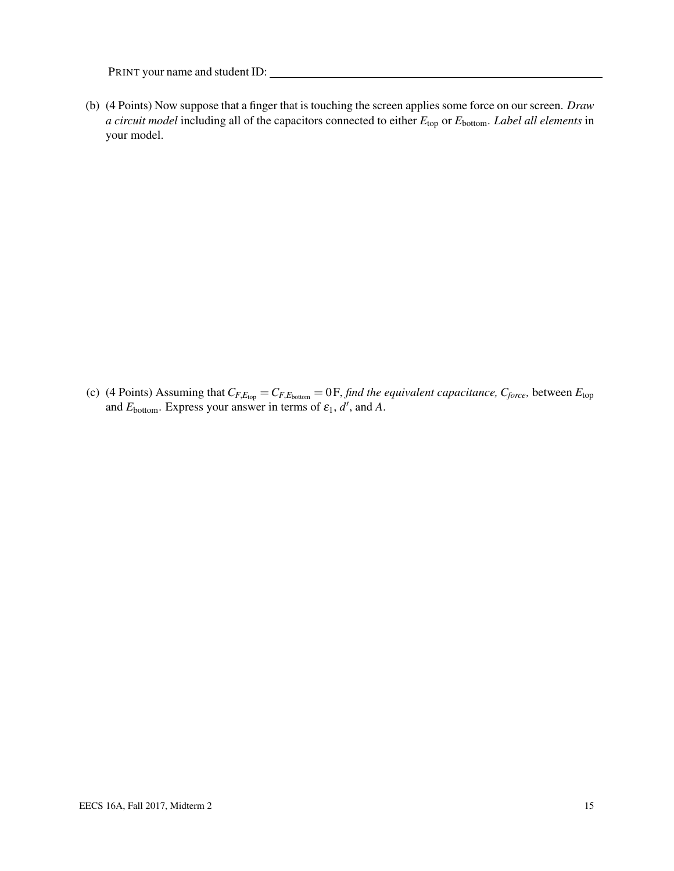(b) (4 Points) Now suppose that a finger that is touching the screen applies some force on our screen. *Draw a circuit model* including all of the capacitors connected to either *E*top or *E*bottom. *Label all elements* in your model.

<span id="page-14-0"></span>(c) (4 Points) Assuming that  $C_{F,E_{\text{top}}} = C_{F,E_{\text{bottom}}} = 0$  F, *find the equivalent capacitance,*  $C_{\text{force}}$ *, between*  $E_{\text{top}}$ and  $E_{\text{bottom}}$ . Express your answer in terms of  $\varepsilon_1$ , d', and A.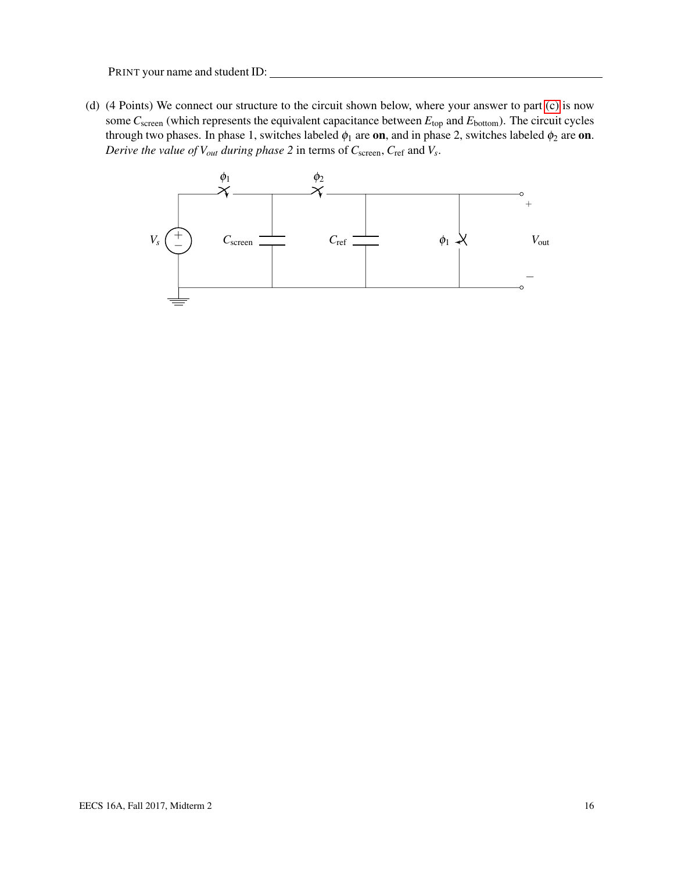(d) (4 Points) We connect our structure to the circuit shown below, where your answer to part [\(c\)](#page-14-0) is now some *C*<sub>screen</sub> (which represents the equivalent capacitance between  $E_{top}$  and  $E_{bottom}$ ). The circuit cycles through two phases. In phase 1, switches labeled  $\phi_1$  are on, and in phase 2, switches labeled  $\phi_2$  are on. *Derive the value of Vout during phase 2* in terms of *C*screen, *C*ref and *V<sup>s</sup>* .

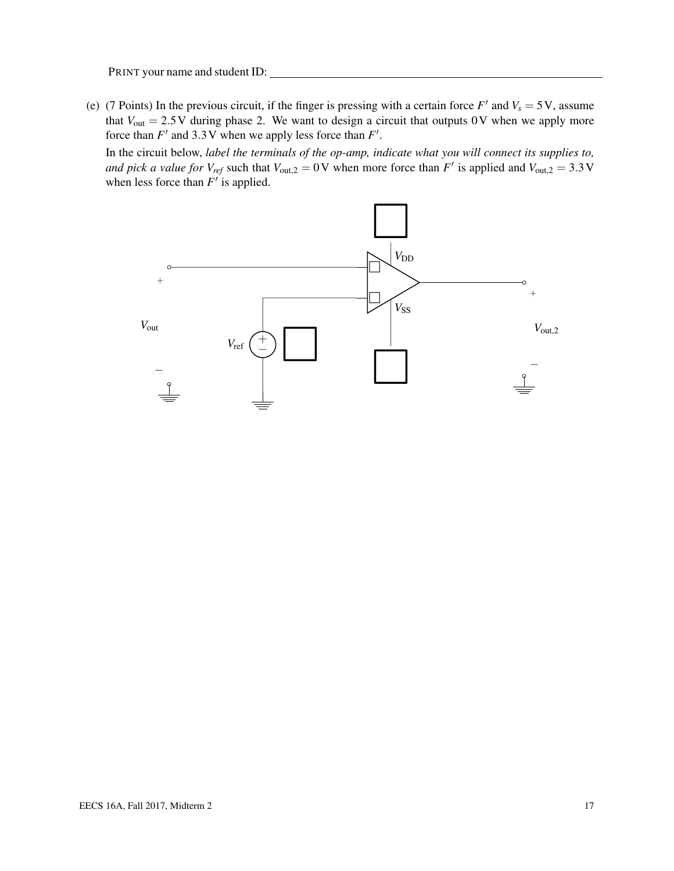(e) (7 Points) In the previous circuit, if the finger is pressing with a certain force  $F'$  and  $V_s = 5V$ , assume that  $V_{\text{out}} = 2.5 \text{V}$  during phase 2. We want to design a circuit that outputs 0V when we apply more force than  $F'$  and 3.3 V when we apply less force than  $F'$ .

In the circuit below, *label the terminals of the op-amp, indicate what you will connect its supplies to, and pick a value for*  $V_{ref}$  such that  $V_{out,2} = 0$  V when more force than  $F'$  is applied and  $V_{out,2} = 3.3$  V when less force than  $F'$  is applied.

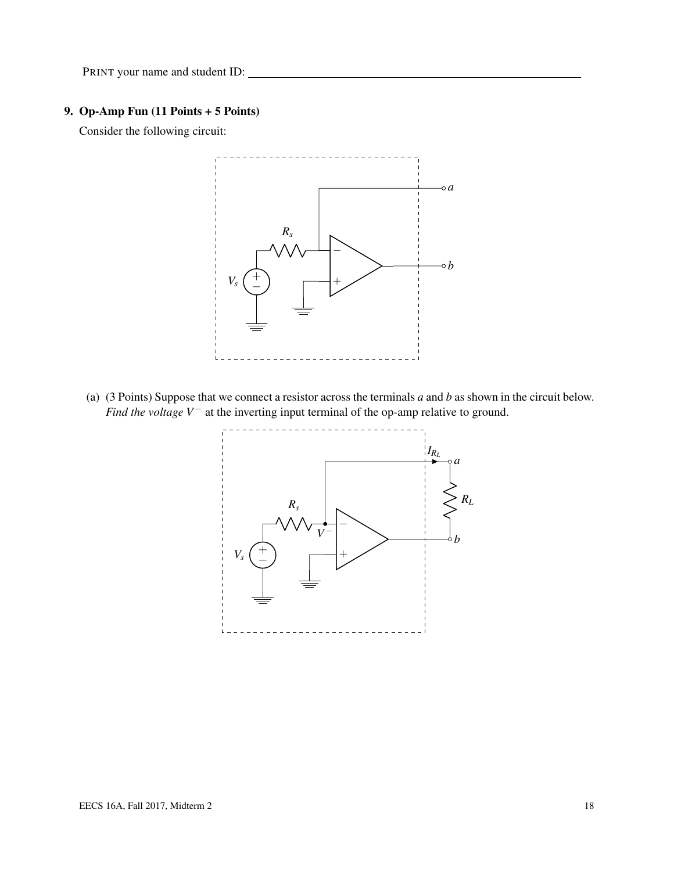## 9. Op-Amp Fun (11 Points + 5 Points)

Consider the following circuit:



(a) (3 Points) Suppose that we connect a resistor across the terminals *a* and *b* as shown in the circuit below. *Find the voltage V*<sup>−</sup> at the inverting input terminal of the op-amp relative to ground.

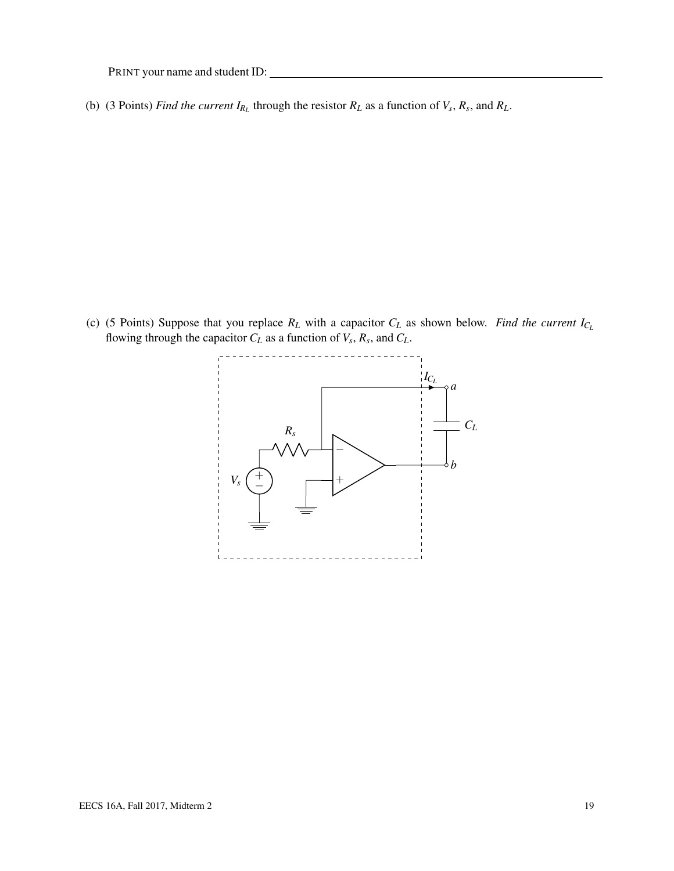(b) (3 Points) *Find the current*  $I_{R_L}$  through the resistor  $R_L$  as a function of  $V_s$ ,  $R_s$ , and  $R_L$ .

(c) (5 Points) Suppose that you replace  $R_L$  with a capacitor  $C_L$  as shown below. *Find the current*  $I_{C_L}$ flowing through the capacitor  $C_L$  as a function of  $V_s$ ,  $R_s$ , and  $C_L$ .

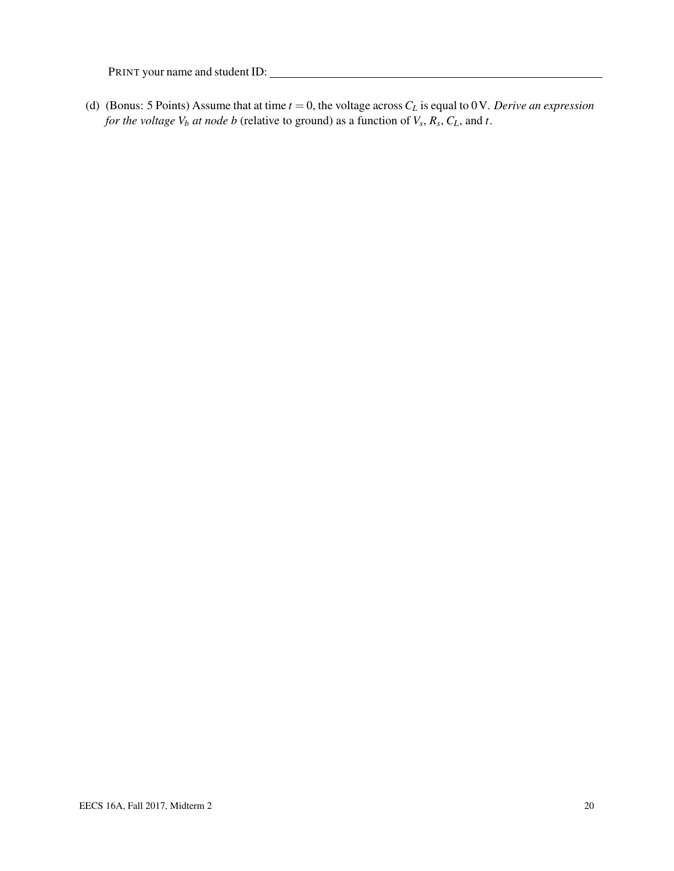(d) (Bonus: 5 Points) Assume that at time  $t = 0$ , the voltage across  $C_L$  is equal to 0V. *Derive an expression for the voltage V<sup>b</sup> at node b* (relative to ground) as a function of *V<sup>s</sup>* , *R<sup>s</sup>* , *CL*, and *t*.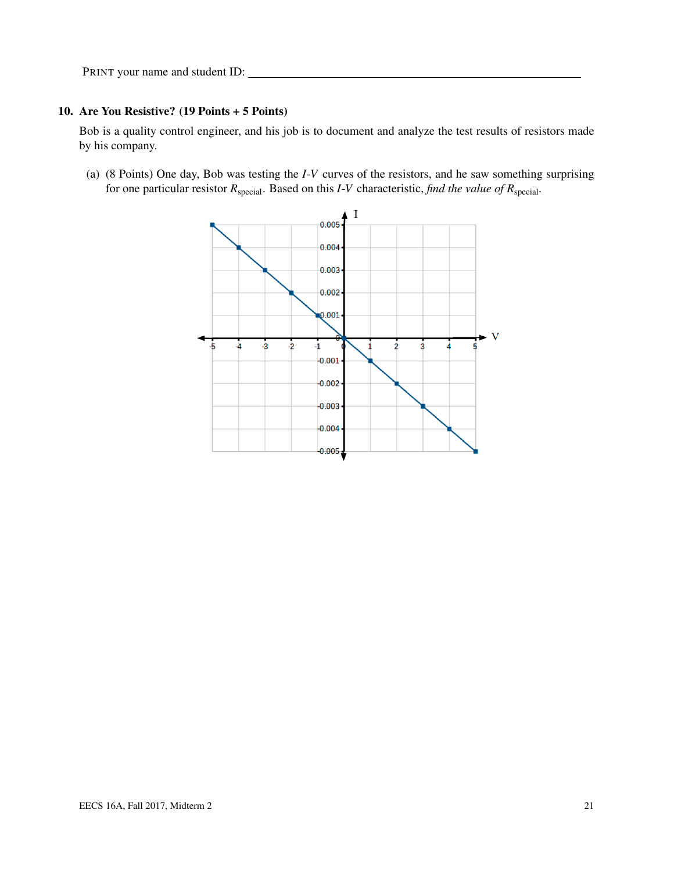#### 10. Are You Resistive? (19 Points + 5 Points)

Bob is a quality control engineer, and his job is to document and analyze the test results of resistors made by his company.

<span id="page-20-0"></span>(a) (8 Points) One day, Bob was testing the *I*-*V* curves of the resistors, and he saw something surprising for one particular resistor *R*special. Based on this *I*-*V* characteristic, *find the value of R*special*.*

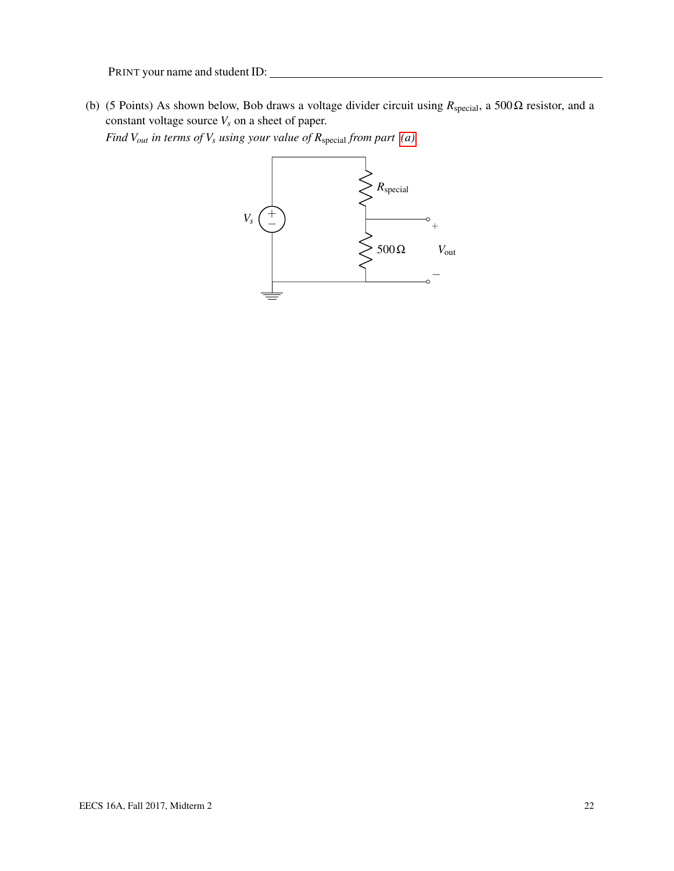(b) (5 Points) As shown below, Bob draws a voltage divider circuit using  $R_{\text{special}}$ , a 500 $\Omega$  resistor, and a constant voltage source  $V_s$  on a sheet of paper.

*Find Vout in terms of V<sup>s</sup> using your value of R*special *from part [\(a\).](#page-20-0)*

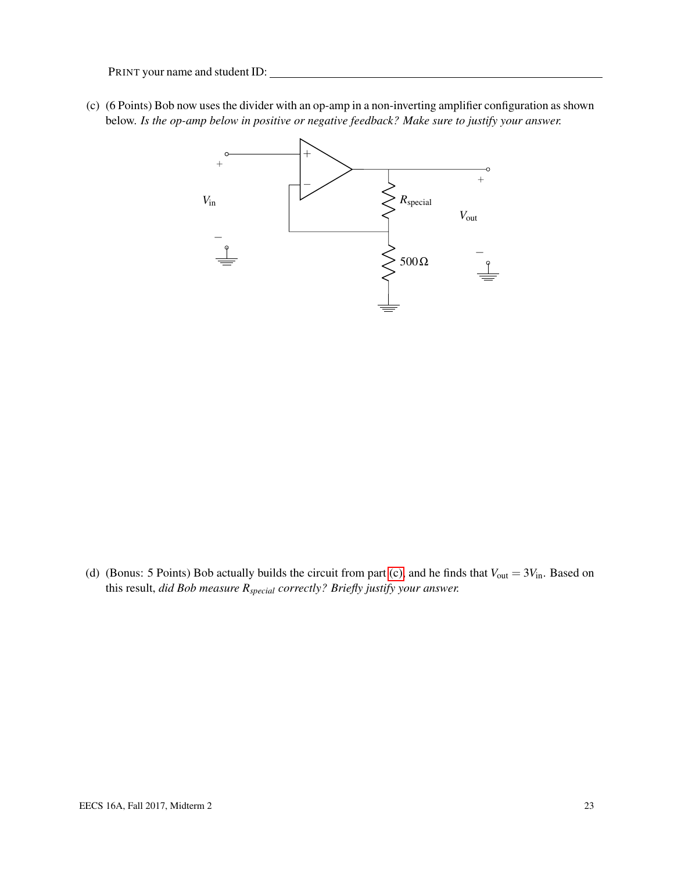<span id="page-22-0"></span>(c) (6 Points) Bob now uses the divider with an op-amp in a non-inverting amplifier configuration as shown below. *Is the op-amp below in positive or negative feedback? Make sure to justify your answer.*



(d) (Bonus: 5 Points) Bob actually builds the circuit from part [\(c\),](#page-22-0) and he finds that  $V_{\text{out}} = 3V_{\text{in}}$ . Based on this result, *did Bob measure Rspecial correctly? Briefly justify your answer.*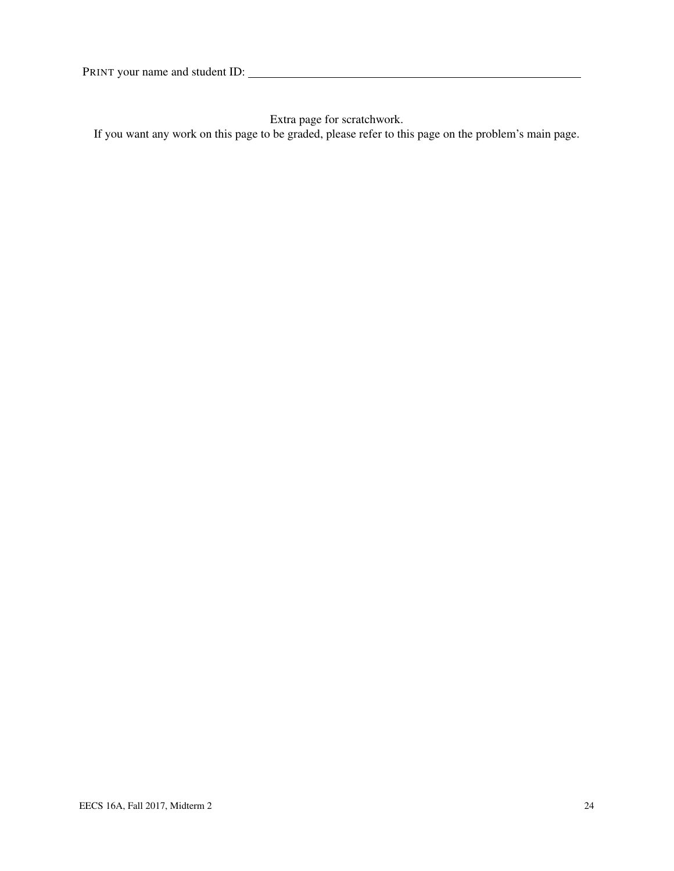Extra page for scratchwork.

If you want any work on this page to be graded, please refer to this page on the problem's main page.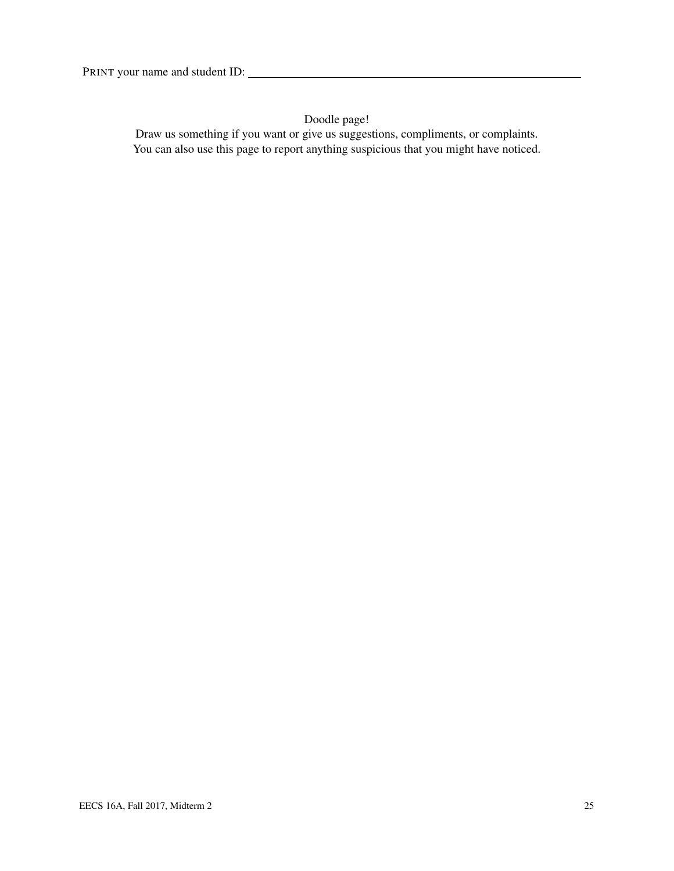Doodle page!

Draw us something if you want or give us suggestions, compliments, or complaints. You can also use this page to report anything suspicious that you might have noticed.